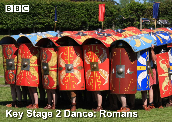

## **[Key Stage 2 Dance: Romans](https://www.bbc.co.uk/teach/school-radio/dance-ks2-dance-workshop-romans-home/z7r67yc)**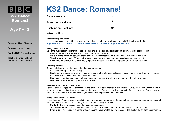

**Age 7 - 12**

**Presenter**: Nigel Pilkington

**Producer:** Barry Gibson

**For the BBC:** Andrew Barnes

**Teacher's Notes:** Deborah Bellman and Barry Gibson

1

## **[KS2 Dance: Romans!](https://www.bbc.co.uk/teach/school-radio/dance-ks2-dance-workshop-romans-home/z7r67yc)**

| <b>Roman invasion</b>       |    |
|-----------------------------|----|
| <b>Towns and buildings</b>  |    |
| <b>Customs and pastimes</b> | 12 |

## **Introduction**

### **Downloading the audio:**

These resources are available to download at any time from the relevant pages of the BBC Teach website. Go to: **<https://www.bbc.co.uk/teach/school-radio/dance-ks2-dance-workshop-home/zsq9bqt>**

#### **Using these resources:**

Using the audio requires plenty of space. The hall or a cleared and swept classroom or similar large space is ideal.

- Use the best equipment that the school has to offer for playback.
- Make sure the children wear gym shoes or bare feet. Bare feet can give a good sense of contact with the floor.
- The children should be in PE kit to allow easy movement and to ensure that they do not become too hot.
- Encourage the children to listen carefully right from the start not just to the presenter but also to the music.

## **Teaching points:**

Some tips to help you get the best out of these programmes:

- Always encourage careful listening.
- Reinforce the importance of safety eg awareness of others to avoid collisions, spacing, sensible landings (with the whole foot, flexing as it comes down and knees bending).
- Help the children to observe each other's movement in a positive light and to learn from their observations.
- Give the children a sense of your own enthusiasm.

### **Dance and the National Curriculum:**

Dance is acknowledged as a vital ingredient of a child's Physical Education in the National Curriculum for Key Stages 1 and 2, where pupils are required to perform dances using a variety of movements. The approach of our dance series frequently allows dance to be combined with other subjects, enabling a rich expressive arts experience.

## **Using these Teacher's Notes:**

These Teacher's Notes include a detailed content grid for each programme intended to help you navigate the programmes and get the most out of them. The content grids include the following information:

- **• Content.** This is the description of the movement sequence.
- **• Teacher guidance.** This is intended to offer advice on how to help the class to get the best out of the content.
- **• Evaluation.** This is usually a series of questions indicating what to look for to assess the level of the children's contribution.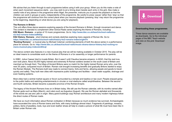We advise that you listen through to each programme before using it with your group. When you do this make a note of when each movement sequence starts - you may wish to jot a timing down beside each entry in the grid. Also make a careful note of any places in the programme when Nigel, the presenter, instructs you to pause the playback so that the children can work in groups or pairs, independently of the programme. Be careful to press 'pause' rather than 'stop' so that the programme will continue from the correct place when you resume playback (pressing 'stop' may return the programme to the beginning, depending on what device you are using for playback).

#### **The Romans in Britain:**

This unit offers three dance sessions exploring aspects of the Ancient Romans in Britain, through movement and dance. The content is intended to complement other School Radio series exploring the theme of Romans, including: **KS2 Music: Romans** - a series of 10 music programmes. Go to: **[http://www.bbc.co.uk/teach/school-radio/mu](http://www.bbc.co.uk/teach/school-radio/music-ks2-romans-index/zdfk92p)[sic-ks2-romans-index/zdfk92p](http://www.bbc.co.uk/teach/school-radio/music-ks2-romans-index/zdfk92p)**

**KS2 History: Romans** - short dramas and comedy sketches exploring many aspects of Roman life. Go to: **<https://www.bbc.co.uk/teach/school-radio/history-ks2-romans-index/zvgk47h>**

**'Rocking Romans'** - a musical play by Michael Coleman combining elements of both the above series in a performance piece for schools. Go to: **[http://www.bbc.co.uk/teach/school-radio/music-drama-dance-history-ks2-rocking-ro](http://www.bbc.co.uk/teach/school-radio/music-drama-dance-history-ks2-rocking-romans-musical-play-index/zm84cqt)[mans-musical-play-index/zm84cqt](http://www.bbc.co.uk/teach/school-radio/music-drama-dance-history-ks2-rocking-romans-musical-play-index/zm84cqt)**

The dance content also features in a new musical play that we will be making available in October 2015. The play will be an ideal means to consolidate work on the theme of Romans in a fun assembly or longer performance for parents.

In 55BC, Julius Caesar tried to invade Britain. But it wasn't until Claudius became emperor, in AD43, that the real invasion took place. About 50,000 highly trained and extremely fit Roman soldiers landed on the south coast of Britain and marched up through Kent. The tribes of Ancient Britons were no match for the highly trained Roman army who, over the next 35 years, conquered much of Britain. Roman rule brought increasing benefits and gradually Britons started to enjoy the Roman lifestyle. The Romans built new roads to connect towns, forts and farms, allowing people and goods to travel quickly and safely. They built new cities with impressive public buildings and facilities – clean water supplies, drainage and even heating systems.

Most cities had a central market square or forum surrounded by a temple and basilica or law court. People enjoyed going to the public baths and watching entertainments in circular or oval stadiums called amphitheatres. Between the second and fourth centuries, Britain became a peaceful province of the Roman Empire.

The legacy of the Ancient Romans lives on in Britain today. We still use the Roman calendar, with its months named after Roman gods such as Mars (March), and rulers such as Augustus (August). We use the Roman alphabet and thousands of the words we use are Latin in origin. Many grand buildings copy Roman architecture and many modern highways follow the direct routes of Roman roads.

We have so much information about Roman civilisation in Britain because so much evidence has survived. Archaeologists have excavated the ruins of Roman towns and forts, with many buildings almost intact. Fragments of paintings, mosaics, pottery, items of jewellery, tools, toys and even leather shoes all help to create a picture of what life must have been like in Britain under Roman rule.



#### **Downloading these programmes**

These dance sessions are available as downloads. Go to the individual pages of the BBC Teach website and click on the pink 'Download' image.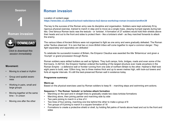## 3

## **Session**

## **Roman invasion**

**[1](http://www.bbc.co.uk/programmes/p032hy58)**



*[Click to download this](http://open.live.bbc.co.uk/mediaselector/5/redir/version/2.0/mediaset/audio-nondrm-download/proto/http/vpid/p041k9gg.mp3)  session immediately*

## **Movement:**

- Moving to a beat or rhythm
- Group and spatial awareness
- Working in pairs, small and large groups
- Moving together at the same time – in unison
- Moving one after the other

## **[Roman invasion](https://www.bbc.co.uk/teach/school-radio/dance-ks2-dance-workshop-roman-invasion/zm4hm39)**

Location of content page: **<https://www.bbc.co.uk/teach/school-radio/dance-ks2-dance-workshop-roman-invasion/zm4hm39>**

The key to the success of the Roman army was its discipline and organisation. Soldiers were kept extremely fit by rigorous physical exercise, trained to march in step and to move as a single mass, obeying trumpet signals during battles. One famous Roman tactic was the testudo - or 'tortoise'. A formation of 27 soldiers would hold their shields above their heads and out to the front and sides to protect them - like a tortoise's shell - as they marched forwards to attack the enemy.

The various tribes of Ancient Britons were not organised to fight as one army and were gradually defeated. The Roman writer Tacitus observed: '*It is rare that two or more British tribes will come together to repel a common danger. They fight separately and separately are defeated.'* 

To celebrate his successful invasion of Britain, the Emperor Claudius was awarded the title 'Britannicus' and given a 'triumph' or grand procession through Rome.

Roman soldiers were skilled builders as well as fighters. They built camps, forts, bridges, roads and even some of the first towns. In AD122, the Emperor Hadrian ordered the building of the largest structure ever made anywhere in the Roman Empire – a defensive wall or frontier running from one side of northern Britain to the other. Hadrian's Wall took eight years to build, was 120km long, two to three metres thick and up to seven metres high, with look-out towers and forts at regular intervals. It's still the best-preserved Roman wall in existence today.

## **Programme summary:**

### **Warm-up**

Based on the physical exercises used by Roman soldiers to keep fit - marching steps and swimming arm-actions.

### **Sequence 1: The Roman 'testudo' or tortoise attack formation**

- Marching on the spot and in straight lines to gradually create two class tortoise formations
- Marching alone, then joining partner and marching side by side
- Two pairs joining to march in a line of 4
- Two lines of four joining, marching one line behind the other to make a group of 8
- Two groups of 8 joining to march in a square formation of 16
- Formations to create a protective shield or shell, by holding flat palms of hands above head and out to the front and sides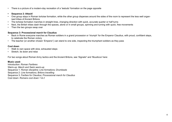- There is a picture of a modern-day recreation of a 'testudo' formation on the page opposite
- **• Sequence 2: Attack!**
- One group stays in Roman tortoise formation, while the other group disperses around the sides of the room to represent the less well organised tribes of Ancient Britons
- The tortoise formation marches in straight lines, changing direction with quick, accurate quarter or half turns
- Next, the British tribes dash through the spaces, alone or in small groups, spinning and turning with quick, free movements
- Then the two groups swap over

## **Sequence 3: Processional march for Claudius**

- Back in Rome everyone marches as Roman soldiers in a grand procession or 'triumph' for the Emperor Claudius, with proud, confident steps, to celebrate the Roman victory
- The teacher (or another chosen 'Emperor') can stand to one side, inspecting the triumphant soldiers as they pass

## **Cool down**

- Walk to own space with slow, exhausted steps
- Stretch, lie down and relax

For two songs about Roman Army tactics and the Ancient Britons, see 'Signals!' and 'Boudicca' here:

### **Music used:**

Introduction: *Roman Fanfares* Warm-up: *March and Swim warm-up* Sequence 1: *Roman discipline; Line formations; Drumbeats* Sequence 2: *Line formations; Britons travelling* Sequence 3: *Fanfare for Claudius; Processional march for Claudius* Cool down: *Romans cool down 1 & 2*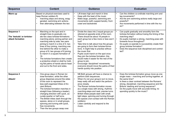| <b>Sequence</b>                                              | <b>Content</b>                                                                                                                                                                                                                                                                                                                                                                                                                                                                                                                                 | <b>Guidance</b>                                                                                                                                                                                                                                                                                                                                                                                                                                                                                                                                                                                   | <b>Evaluation</b>                                                                                                                                                                                                                                                                                                                                 |
|--------------------------------------------------------------|------------------------------------------------------------------------------------------------------------------------------------------------------------------------------------------------------------------------------------------------------------------------------------------------------------------------------------------------------------------------------------------------------------------------------------------------------------------------------------------------------------------------------------------------|---------------------------------------------------------------------------------------------------------------------------------------------------------------------------------------------------------------------------------------------------------------------------------------------------------------------------------------------------------------------------------------------------------------------------------------------------------------------------------------------------------------------------------------------------------------------------------------------------|---------------------------------------------------------------------------------------------------------------------------------------------------------------------------------------------------------------------------------------------------------------------------------------------------------------------------------------------------|
| Warm up                                                      | Based on physical exercises used to<br>keep Roman soldiers fit:<br>marching steps and strong, exag-<br>gerated, swimming arm actions<br>then alternating between the two                                                                                                                                                                                                                                                                                                                                                                       | Lift knees high and march in time<br>Keep with the beat of the music<br>Make large, powerful, swimming arm<br>movements (with cupped-hands), front<br>crawl and backstroke                                                                                                                                                                                                                                                                                                                                                                                                                        | Can the children co-ordinate marching arm and<br>leg movements?<br>Are the arm swimming actions really large and<br>powerful?<br>Are movements performed in time with the mu-<br>sic?                                                                                                                                                             |
| Sequence 1<br>The 'testudo' or tortoise-<br>attack formation | Marching on the spot and in<br>straight lines to gradually cre-<br>ate two class tortoise-formations:<br>marching alone; joining partner and<br>marching side by side; two pairs<br>joining to march in a line of 4; two<br>lines of four joining, marching one<br>line behind the other to make a<br>group of 8; two groups of 8 joining<br>to march in a square formation of<br>16.<br>The tortoise formations then create<br>a protective shield or shell by hold-<br>ing flat palms of hands above head<br>and out to the front and sides. | Divide the class into 2 equal groups po-<br>sitioned at opposite ends of the room.<br>There should be about 16 people in<br>each group but a few more or less won't<br>hurt!<br>Take time to talk about how the groups<br>are going to form their tortoise-forma-<br>tions. It might help to practise without<br>the music first.<br>Pupils could march on the spot once<br>they join the tortoise formation; this<br>would make it easier for the rest of the<br>group to join.<br>Encourage 'disciplined' movements;<br>everyone should move the palms of their<br>hands quickly into position. | Can pupils gradually and smoothly form the<br>tortoise-formation without losing the timing of the<br>marching step?<br>Do pupils maintain a strong, marching pose with<br>forwards focus throughout?<br>Do pupils co-operate to successfully create their<br>group tortoise formation?<br>Does the sequence look disciplined and control-<br>led? |
| Sequence 2<br><b>Attack!</b>                                 | One group stays in Roman tor-<br>toise-formation, while the other<br>group disperses around the sides<br>of the room to represent the<br>less-well-organised tribes of An-<br>cient Britons.<br>The tortoise-formation marches in<br>straight lines (following a leader),<br>changing direction with quick, ac-<br>curate quarter or half turns.<br>The British tribes dash through the<br>spaces, alone or in small groups,<br>spinning and turning with quick,<br>free movements.<br>Then the two groups swap over.                          | NB Both groups will have a chance to<br>perform both sequences.<br>When it's not your group's turn to move,<br>keep really still and watch the perform-<br>ance closely.<br>The Roman tortoise-formation moves<br>as a single mass with strong, rhythmic<br>marching-steps and neat, precise turns.<br>British tribes-people dash with small,<br>light steps; spinning and turning through<br>the spaces (non-contact with the Roman<br>soldiers).<br>Listen carefully and respond to the<br>music.                                                                                               | Does the tortoise-formation group move as one<br>single mass - marching and turning together, at<br>the same time?<br>Is there a clear contrast between the Romans'<br>strong, disciplined, marching sequence and the<br>Britons' dashing and turning sequence?<br>Do the pupils move with accurate timing; re-<br>sponding quickly to the music? |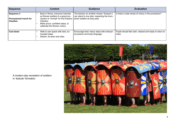| <b>Sequence</b>                                                | <b>Content</b>                                                                                                                                                                              | <b>Guidance</b>                                                                                                          | <b>Evaluation</b>                                                 |
|----------------------------------------------------------------|---------------------------------------------------------------------------------------------------------------------------------------------------------------------------------------------|--------------------------------------------------------------------------------------------------------------------------|-------------------------------------------------------------------|
| Sequence 3<br><b>Processional march for</b><br><b>Claudius</b> | Back in Rome, everyone marches<br>as Roman soldiers in a grand pro-<br>cession or 'triumph' for the Emperor<br>Claudius.<br>Make proud, confident steps, to<br>celebrate the Roman victory. | The teacher (or another chosen 'Emperor')<br>can stand to one side, inspecting the trium-<br>phant soldiers as they pass | Is there a clear sense of victory in the procession?              |
| Cool down                                                      | Walk to own space with slow, ex-<br>hausted steps.<br>Stretch, lie down and relax.                                                                                                          | Encourage tired, heavy steps with exhaust-<br>ed posture and body language.                                              | Pupils should feel calm, relaxed and ready to return to<br>class. |



*A modern-day recreation of soldiers in 'testudo' formation*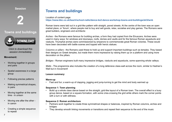## **Session**

# **2**

## **[Towns and buildings](http://www.bbc.co.uk/programmes/p032hzpg)**



*[Click to download this](http://open.live.bbc.co.uk/mediaselector/5/redir/version/2.0/mediaset/audio-nondrm-download/proto/http/vpid/p041k8y7.mp3)  session immediately*

## **Movement:**

- Working together in groups and pairs
- Spatial awareness in a large group
- Following precise patterns
- Making symmetrical shapes, in pairs
- Moving together at the same time - in unison
- Moving one after the other in canon
- Creating a simple sequence to repeat

## **[Towns and buildings](https://www.bbc.co.uk/teach/school-radio/dance-ks2-dance-workshop-towns-and-buildings/zk32wnb)**

### Location of content page: **https://www.bbc.co.uk/teach/school-radio/dance-ks2-dance-workshop-towns-and-buildings/zk32wnb**

Roman towns were laid out in a grid-like pattern with straight, paved streets. At the centre of the town was an open market place, or 'forum', where people met to buy and sell goods, relax, socialise and play games. The Romans were great builders, engineers and architects:

*Arches -* the Romans were famous for building arches, a form they had copied from the Etruscans. Arches were used in many ways: for windows and doorways, roofs, domes and vaults and for the famous Roman aqueducts and viaducts. Triumphal arches were commissioned by emperors to commemorate great Roman victories. These would have been decorated with battle scenes and topped with heroic statues.

*Columns or pillars -* the Romans used these to hold up and support important buildings such as temples. They based their designs on Greek temples, but made them more impressive by raising them up on a platform and using more decoration on the pillars.

*Bridges -* Roman engineers built many impressive bridges, viaducts and aqueducts, some spanning whole valleys.

*Walls -* The programme also includes the creation of a long defensive class-wall across the room, similar to Hadrian's Wall but in movement!

## **Lesson summary:**

## **Warm-up**

• Fast and fun; a warm-up of clapping, jogging and jump-turning to get the mind and body warmed up

## **Sequence 1: Town planning**

• Build up a whole class dance based on the straight, grid-like layout of a Roman town. The overall effect is a busy group dance, based on a square formation, with some criss-crossing the grid while others mark the corner points with a turn or with stillness.

## **Sequence 2: Roman architecture**

- Partners work together to create three symmetrical shapes or balances, inspired by Roman columns, arches and bridges
- They develop smooth linking movements or transitions and repeat their sequence to the end of the music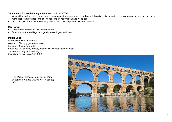## **Sequence 3: Roman building actions and Hadrian's Wall**

- Work with a partner or in a small group to create a simple sequence based on collaborative building actions sawing (pushing and pulling), hammering (alternate swings) and pulling ropes to lift heavy rocks and wood etc
- As a class, link arms to create a long wall to finish this sequence 'Hadrian's Wall'!

## **Cool down**

- Lie down on the floor to relax tired muscles
- Stretch out arms and legs, and gently move fingers and toes

## **Music used:**

Introduction: *Roman fanfares*  Warm-up: *Clap, jog, jump and travel* Sequence 1: *Roman roads* Sequence 2: *Columns, arches, bridges; New shapes and balances* Sequence 3: *Rhythmic building*  Cool down: *Romans cool down 1 & 2*

*The elegant arches of the Pont du Gard in southern France, built in the 1st century AD.*

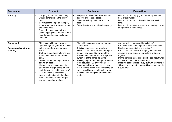| <b>Sequence</b>                                       | <b>Content</b>                                                                                                                                                                                                                                                                                                                                                                                                                                                                                                                           | <b>Guidance</b>                                                                                                                                                                                                                                                                                                                                                                                                                                                                                                                   | <b>Evaluation</b>                                                                                                                                                                                                                                                                                                                                                                                                                                                                        |
|-------------------------------------------------------|------------------------------------------------------------------------------------------------------------------------------------------------------------------------------------------------------------------------------------------------------------------------------------------------------------------------------------------------------------------------------------------------------------------------------------------------------------------------------------------------------------------------------------------|-----------------------------------------------------------------------------------------------------------------------------------------------------------------------------------------------------------------------------------------------------------------------------------------------------------------------------------------------------------------------------------------------------------------------------------------------------------------------------------------------------------------------------------|------------------------------------------------------------------------------------------------------------------------------------------------------------------------------------------------------------------------------------------------------------------------------------------------------------------------------------------------------------------------------------------------------------------------------------------------------------------------------------------|
| Warm up                                               | Clapping rhythm: four lots of eight,<br>with an emphasis on the eighth<br>beat.<br>Seven jogging steps on the spot,<br>with a sharp, neat, quarter-turn on<br>the eighth beat.<br>Repeat the sequence to travel:<br>seven jogging steps forwards, then<br>jump-turn on the spot to change<br>direction.                                                                                                                                                                                                                                  | Keep to the beat of the music with both<br>clapping and jogging steps.<br>Encourage sharp, neat, turns on the<br>spot.<br>Count the steps in your head as you go.<br>$\bullet$                                                                                                                                                                                                                                                                                                                                                    | Do the children clap, jog and turn-jump with the<br>beat of the music?<br>Do the children turn in the right direction each<br>time?<br>Do the children use the music to accurately predict<br>and perform the sequence?                                                                                                                                                                                                                                                                  |
| <b>Sequence 1</b><br>Roman roads and town<br>planning | Thinking of a Roman town as a<br>'grid' with right-angles, walk in time<br>to the music, forwards for seven<br>steps.<br>On beat eight, dancers turn to face<br>a new direction (quarter or half<br>turn).<br>Then try with three steps forward,<br>turning on beat 4.<br>Alternatively, a dancer may stand<br>still for four or eight beats, on the<br>spot (turning on beat four or eight).<br>With the whole class walking,<br>turning or standing still, the effect<br>should be a busy scene. People<br>can walk together or alone. | Start with the dancers spread through-<br>out the room.<br>This is a structured improvisation,<br>where children have choices during the<br>dance. They should be aware of the<br>effect of their choices on the shape and<br>dynamics of the dance as a whole.<br>Walking steps should be rhythmical and<br>turns accurate $-90$ or 180 degrees.<br>Encourage children to make choices<br>that make the dance more interesting to<br>watch (eg children should notice when<br>they can walk alongside or behind one<br>another). | Are the walking steps and turns in time?<br>Are the children counting their steps accurately?<br>Do children maintain the grid pattern?<br>Are children successful in shaping the dance in<br>relation to other dancers (eg walking or turning<br>together)?<br>Do the dancers make sensible choices about when<br>to stand still (ie to avoid collisions)?<br>Does the sequence look busy, but with moments of<br>stillness, or is there too much stillness to resemble<br>a busy city? |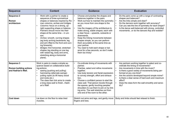| <b>Sequence</b>                                                    | <b>Content</b>                                                                                                                                                                                                                                                                                                                                                                                                                                                                                                                                                                             | <b>Guidance</b>                                                                                                                                                                                                                                                                                                                                                                                                                                                                                                                              | <b>Evaluation</b>                                                                                                                                                                                                                                                                                                                                                                      |
|--------------------------------------------------------------------|--------------------------------------------------------------------------------------------------------------------------------------------------------------------------------------------------------------------------------------------------------------------------------------------------------------------------------------------------------------------------------------------------------------------------------------------------------------------------------------------------------------------------------------------------------------------------------------------|----------------------------------------------------------------------------------------------------------------------------------------------------------------------------------------------------------------------------------------------------------------------------------------------------------------------------------------------------------------------------------------------------------------------------------------------------------------------------------------------------------------------------------------------|----------------------------------------------------------------------------------------------------------------------------------------------------------------------------------------------------------------------------------------------------------------------------------------------------------------------------------------------------------------------------------------|
| <b>Sequence 2</b><br>Roman<br>architecture                         | Work with a partner to create a<br>sequence of three symmetrical<br>shapes or balances inspired by Ro-<br>man columns, arches and bridges.<br>Columns: focus on a strong, up-<br>right supporting shape or balance.<br>Partners should move into their<br>shape at the same time - in uni-<br>son.<br>Arches: smooth, curving shapes<br>(eg body arching backwards; leg<br>and arm lifted to the front and curv-<br>ing forwards).<br>Bridges: find horizontal, stretched<br>shapes (eg standing on one leg<br>with raised leg, body and arms,<br>stretching along a horizontal<br>plane). | Choose and practise the shapes and<br>balances together in the pairs.<br>Work out how to maintain the symmetry<br>as you move from one shape to the<br>next.<br>Use the imagery of the architecture to<br>make strong, stable shapes; each with<br>a clear focus - upwards, outwards or<br>downwards.<br>Keep the linking movements between<br>shapes simple, so you can perform<br>them accurately at the same time as<br>your partner.<br>You need to hold each shape or bal-<br>ance for a few seconds, so don't make<br>them too tricky! | Do the pairs come up with a range of contrasting<br>shapes and balances?<br>Are the links simple and clear?<br>Do the dancers work together with accuracy?<br>Can you see the line of symmetry for each shape?<br>Is the dance well-balanced with strong, controlled<br>movementsor do the dancers flop and wobble?                                                                    |
| Sequence 3<br><b>Roman building actions</b><br>and Hadrian's Wall. | Work in pairs to create a simple se-<br>quence based on collaborative build-<br>ing-actions:<br>sawing (pushing and pulling)<br>hammering (alternate swings)<br>pulling ropes (to lift heavy wood<br>and rocks etc.)<br>The class then link arms to create<br>a long class-wall to finishHadri-<br>an's Wall!                                                                                                                                                                                                                                                                              | Co-ordinate timing of movements with<br>partner.<br>Practise, select and refine movements<br>together.<br>Use body tension and facial expression<br>to convey strength, effort and exhaus-<br>tion.<br>Choose a confident person to start the<br>class wall. That person travels through<br>the spaces, gently touching peoples'<br>shoulders to cue them to join on by link-<br>ing arms. The wall stretches out from<br>one end of the room to the other.                                                                                  | Are partners working together to select and co-<br>ordinate the timing of movements?<br>Are movements in time with the music?<br>Is there a good variety of movements being per-<br>formed at any one time?<br>Are the actions developed beyond simple mime?<br>Is there a clear sense of hard work and maximum<br>effort?<br>Does the class form the wall smoothly and sensi-<br>bly? |
| Cool down                                                          | Lie down on the floor to relax tired<br>muscles.                                                                                                                                                                                                                                                                                                                                                                                                                                                                                                                                           | Stretch out arms and legs, and gently move<br>fingers and toes.                                                                                                                                                                                                                                                                                                                                                                                                                                                                              | Body and limbs should feel relaxed to finish.                                                                                                                                                                                                                                                                                                                                          |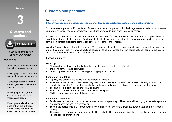## **Session**

# **3**

## **Customs and pastimes**



*[Click to download this](http://open.live.bbc.co.uk/mediaselector/5/redir/version/2.0/mediaset/audio-nondrm-download/proto/http/vpid/p041k869.mp3)  session immediately*

## **Movement:**

- Sensitivity to a partner's intention when moving together
- Developing a paired, non-contact, action-reaction sequence
- Selecting appropriate movements, gestures, posture and facial expressions
- Playing a part in a group dance using music cues, freezes and action
- Developing a visual awareness of how the individual dancer looks and how the group dance looks in space

## **[Customs and pastimes](https://www.bbc.co.uk/teach/school-radio/dance-ks2-dance-workshop-customs-and-pastimes/z6wyp4j)**

Location of content page: **<https://www.bbc.co.uk/teach/school-radio/dance-ks2-dance-workshop-customs-and-pastimes/z6wyp4j>**

Sculpture was important in Roman times. Palaces, temples and important public buildings were decorated with statues of emperors, generals, gods and goddesses. Sculptures were made from stone, marble or bronze.

Romans built huge, circular or oval amphitheatres for all strata of Roman society and among the most popular forms of entertainment were gladiators, who often fought to the death. After a fierce, stamping procession by the class, pairs perform a non-contact, gladiators' combat sequence as 'Retiarius' and 'Thraex'.

Wealthy Romans liked to throw fine banquets. The guests would recline on couches while slaves served them food and wine. They ate with their fingers and could be served up to seven courses over ten hours! Between courses, the guests were entertained by dancers, poets and musicians.

## **Lesson summary:**

## **Warm up**

- Clapping hands above head while bending and stretching knees to beat of music
- Travelling forwards and backwards
- Alternating between bending/stretching and jogging forwards/back

## **Sequence 1: Sculpture**

- In pairs, one person curls up like a piece of stone or marble
- The other person is the sculptor, who slowly walks around and lightly taps or manipulates different joints and body parts in the 'sculpture', so that they gradually rise into a standing position through a series of sculptural poses
- The final pose is calm, strong, muscular and heroic
- The 'sculptor' walks around to admire the finished 'sculpture'
- Children swap roles and repeat the sequence

## **Sequence 2: Gladiators**

- Pupils travel around the room with threatening, heavy stamping steps. They move with strong, gladiator-style posture and upper body actions, in a procession
- Then, pairs decide who is a 'Thraex' (with a sword and shield) and who a 'Retiarius' (with a net and three-pronged trident)
- They practise a non-contact sequence of blocking and attacking movements, focusing on clear body shapes and contrasting speeds of movement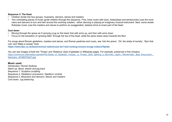## **Sequence 3: The feast**

- Children divide into four groups: musicians, dancers, slaves and masters
- Two contrasting pieces of music guide children through the sequence. First, lively music with lyres, flutes/pipes and tambourines cues the musicians and dancers to turn and twirl around the reclining masters - either dancing or playing an imaginary musical instrument. Next, some slower flute/pipe music cues the masters and slaves to perform an exaggerated, stylised mime to enact part of the feast

## **Cool down**

- Moving through the space as if carrying a jug on the head; first with arms up, and then with arms down
- Focus on the sensation of 'growing taller' through the top of the head, while the spine draws down towards the floor

For songs about Roman gladiators, masters and slaves, and Roman pastimes and music, see 'Into the arena', 'Oh, the strata of society', 'Spin that coin' and 'Make a mosaic' here:

**<https://www.bbc.co.uk/teach/school-radio/music-ks1-ks2-rocking-romans-songs-index/z79phbk>**

You can see images of both the 'Thraex' and 'Retiarius' style of gladiator in Wikipedia pages. For example, preserved in fine mosaics: https://commons.wikimedia.org/wiki/File:Detail\_of\_Gladiator\_mosaic,\_a\_Thraex\_(left)\_fighting\_a\_Murmillo\_(right),\_Römerhalle,\_Bad\_Kreuznach, [Germany\\_\(8196070427\).jpg](https://commons.wikimedia.org/wiki/File:Detail_of_Gladiator_mosaic,_a_Thraex_(left)_fighting_a_Murmillo_(right),_Römerhalle,_Bad_Kreuznach,_Germany_(8196070427).jpg)

## **Music used:**

Introduction: *Roman fanfares* Warm-up: *Bend, stretch and jog back* Sequence 1: *Sculptors sculpting* Sequence 2: *Gladiators' procession; Gladitors' combat* Sequence 3: *Musicians and dancers; Slaves and masters* Cool down: *Jug balancing*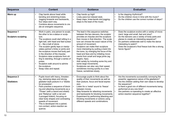| Sequence                                 | <b>Content</b>                                                                                                                                                                                                                                                                                                                                                                                                                                                                                                                         | <b>Guidance</b>                                                                                                                                                                                                                                                                                                                                                                                                                                                                                                                                                                                                                                    | <b>Evaluation</b>                                                                                                                                                                                                                                                                                                                                 |
|------------------------------------------|----------------------------------------------------------------------------------------------------------------------------------------------------------------------------------------------------------------------------------------------------------------------------------------------------------------------------------------------------------------------------------------------------------------------------------------------------------------------------------------------------------------------------------------|----------------------------------------------------------------------------------------------------------------------------------------------------------------------------------------------------------------------------------------------------------------------------------------------------------------------------------------------------------------------------------------------------------------------------------------------------------------------------------------------------------------------------------------------------------------------------------------------------------------------------------------------------|---------------------------------------------------------------------------------------------------------------------------------------------------------------------------------------------------------------------------------------------------------------------------------------------------------------------------------------------------|
| Warm up                                  | Clap hands above head while<br>bending and stretching knees.<br>Jogging forwards and backwards,<br>four steps each way.<br>Combine above movements to cre-<br>ate an energetic sequence.                                                                                                                                                                                                                                                                                                                                               | Clap hands up high!<br>Lively pace but relaxed style.<br>Keep claps, knee-bends and jogging-<br>steps to the beat of the music.                                                                                                                                                                                                                                                                                                                                                                                                                                                                                                                    | Is the clapping rhythmical?<br>Do the children move in time with the music?<br>Do the children use the correct number of steps?                                                                                                                                                                                                                   |
| Sequence 1<br><b>Sculptors sculpting</b> | Work in pairs, one person to sculpt,<br>the other to be a statue or sculp-<br>ture.<br>The sculpture could start sitting in a<br>tight ball, with head and feet tucked<br>in - like a ball of stone.<br>The sculptor gently taps or manip-<br>ulates partner's limbs or joints and<br>the sculpture moves that body part<br>in the direction of the impulse.<br>Sculptors raise sculptures from sit-<br>ting to standing, through a series of<br>poses.<br>Sculptors walk around to admire<br>the sculpture.<br>Swap roles and repeat. | The lead in this sequence switches<br>between the two dancers; the sculptor<br>provides an impulse and the sculpture<br>then moves in that direction. The sculp-<br>ture can choose the exact nature of the<br>amount of movement.<br>Sculptors can make their sculpture<br>more interesting by putting a twist into<br>the torso, by changing the focus of the<br>head and face and by initiating move-<br>ments from small and large joints (eg<br>fingers, hips).<br>Add variety by including some tiny and<br>some large movements.<br>Sculptures can also vary their speed,<br>sometimes moving quickly to a new<br>freeze, sometimes slowly. | Does the sculpture evolve with a variety of move-<br>ment: large and small, fast and slow?<br>Do the dancers use a variety of body parts and<br>planes to create an interesting sequence?<br>Do partners collaborate well to make the dance<br>interesting to watch?<br>Does the sculpture's final freeze look like a strong,<br>heroic figure?   |
| Sequence 2<br><b>Gladiators</b>          | Pupils travel with heavy, threaten-<br>ing, stamping steps and strong,<br>gladiator-style posture in a 'Gladia-<br>tor procession'.<br>Pairs practise a sequence of block-<br>ing and attacking movements as a<br>'Thraex' (with a sword and shield)<br>and 'Retiarius' (with a net and<br>3-pronged trident), focusing on<br>clear body shapes and contrasting<br>speeds of movement.<br>This is developed into a paired,<br>non-contact, action-reaction se-<br>quence.                                                              | Encourage pupils to think about the<br>quality of their movements as well as<br>their posture, focus and facial expres-<br>sion.<br>Listen for a 'metal' sound to 'freeze'<br>between moves.<br>Step forwards for attacking movements<br>and backwards for blocking movements.<br>Experiment by performing attacking and<br>blocking movements or actions using<br>different speeds and combinations.                                                                                                                                                                                                                                              | Are the movements successfully conveying the<br>powerful, aggressive nature of the gladiators?<br>Are the children adding their own ideas to develop<br>the sequence?<br>Is there a good mix of different movements being<br>performed at any one time?<br>Are partners co-operating to create an effective<br>action-reaction sequence together? |